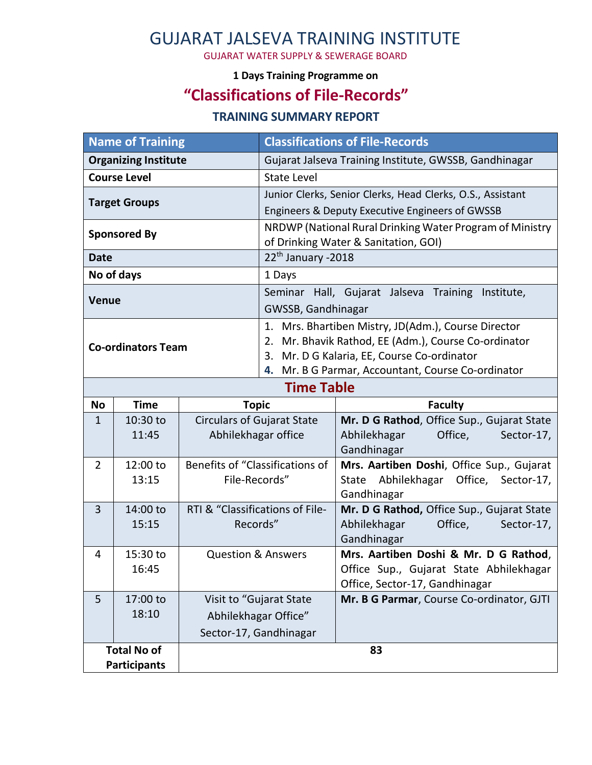# GUJARAT JALSEVA TRAINING INSTITUTE

GUJARAT WATER SUPPLY & SEWERAGE BOARD

#### **1 Days Training Programme on**

## **"Classifications of File-Records"**

#### **TRAINING SUMMARY REPORT**

| <b>Name of Training</b>     |                   |                                             | <b>Classifications of File-Records</b>                                                           |                                                      |
|-----------------------------|-------------------|---------------------------------------------|--------------------------------------------------------------------------------------------------|------------------------------------------------------|
| <b>Organizing Institute</b> |                   |                                             | Gujarat Jalseva Training Institute, GWSSB, Gandhinagar                                           |                                                      |
| <b>Course Level</b>         |                   |                                             | <b>State Level</b>                                                                               |                                                      |
| <b>Target Groups</b>        |                   |                                             | Junior Clerks, Senior Clerks, Head Clerks, O.S., Assistant                                       |                                                      |
|                             |                   |                                             | Engineers & Deputy Executive Engineers of GWSSB                                                  |                                                      |
| <b>Sponsored By</b>         |                   |                                             | NRDWP (National Rural Drinking Water Program of Ministry<br>of Drinking Water & Sanitation, GOI) |                                                      |
| <b>Date</b>                 |                   |                                             | 22 <sup>th</sup> January -2018                                                                   |                                                      |
| No of days                  |                   |                                             | 1 Days                                                                                           |                                                      |
|                             |                   |                                             | Seminar Hall, Gujarat Jalseva Training Institute,                                                |                                                      |
| <b>Venue</b>                |                   |                                             | GWSSB, Gandhinagar                                                                               |                                                      |
|                             |                   |                                             | 1. Mrs. Bhartiben Mistry, JD(Adm.), Course Director                                              |                                                      |
| <b>Co-ordinators Team</b>   |                   |                                             | 2. Mr. Bhavik Rathod, EE (Adm.), Course Co-ordinator                                             |                                                      |
|                             |                   |                                             | Mr. D G Kalaria, EE, Course Co-ordinator<br>3.                                                   |                                                      |
|                             |                   |                                             | Mr. B G Parmar, Accountant, Course Co-ordinator<br>4.                                            |                                                      |
| <b>Time Table</b>           |                   |                                             |                                                                                                  |                                                      |
| <b>No</b>                   | <b>Time</b>       | <b>Topic</b>                                |                                                                                                  | <b>Faculty</b>                                       |
| $\mathbf{1}$                | 10:30 to<br>11:45 | <b>Circulars of Gujarat State</b>           |                                                                                                  | Mr. D G Rathod, Office Sup., Gujarat State           |
|                             |                   | Abhilekhagar office                         |                                                                                                  | Abhilekhagar<br>Office,<br>Sector-17,<br>Gandhinagar |
| 2                           | 12:00 to          | Benefits of "Classifications of             |                                                                                                  | Mrs. Aartiben Doshi, Office Sup., Gujarat            |
|                             | 13:15             | File-Records"                               |                                                                                                  | State Abhilekhagar Office, Sector-17,                |
|                             |                   |                                             |                                                                                                  | Gandhinagar                                          |
| $\overline{3}$              | 14:00 to          | RTI & "Classifications of File-<br>Records" |                                                                                                  | Mr. D G Rathod, Office Sup., Gujarat State           |
|                             | 15:15             |                                             |                                                                                                  | Abhilekhagar<br>Office,<br>Sector-17,<br>Gandhinagar |
| 4                           | 15:30 to          | <b>Question &amp; Answers</b>               |                                                                                                  | Mrs. Aartiben Doshi & Mr. D G Rathod,                |
| 16:45                       |                   |                                             | Office Sup., Gujarat State Abhilekhagar                                                          |                                                      |
|                             |                   |                                             |                                                                                                  | Office, Sector-17, Gandhinagar                       |
| 5                           | 17:00 to          | Visit to "Gujarat State                     |                                                                                                  | Mr. B G Parmar, Course Co-ordinator, GJTI            |
|                             | 18:10             | Abhilekhagar Office"                        |                                                                                                  |                                                      |
|                             |                   | Sector-17, Gandhinagar                      |                                                                                                  |                                                      |
| <b>Total No of</b>          |                   |                                             | 83                                                                                               |                                                      |
| <b>Participants</b>         |                   |                                             |                                                                                                  |                                                      |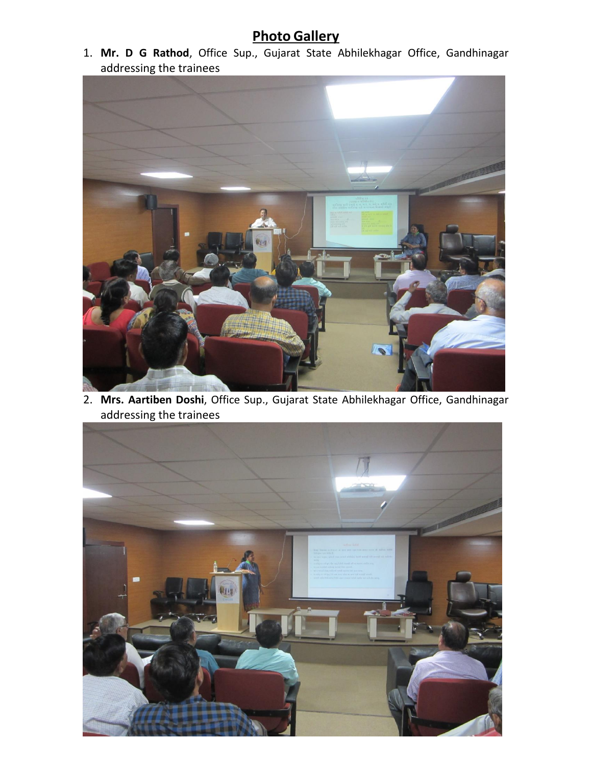### **Photo Gallery**

1. **Mr. D G Rathod**, Office Sup., Gujarat State Abhilekhagar Office, Gandhinagar addressing the trainees



2. **Mrs. Aartiben Doshi**, Office Sup., Gujarat State Abhilekhagar Office, Gandhinagar addressing the trainees